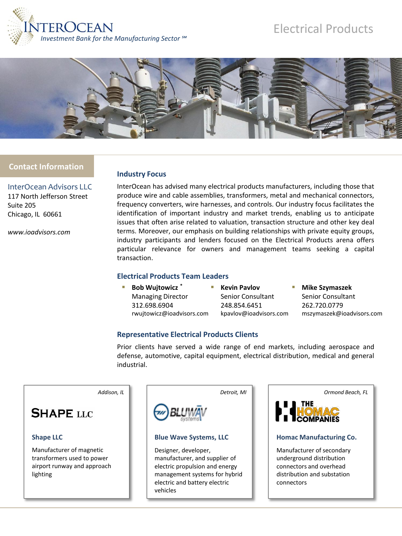

# Electrical Products



## **Contact Information**

InterOcean Advisors LLC 117 North Jefferson Street Suite 205 Chicago, IL 60661

*www.ioadvisors.com*

#### **Industry Focus**

InterOcean has advised many electrical products manufacturers, including those that produce wire and cable assemblies, transformers, metal and mechanical connectors, frequency converters, wire harnesses, and controls. Our industry focus facilitates the identification of important industry and market trends, enabling us to anticipate issues that often arise related to valuation, transaction structure and other key deal terms. Moreover, our emphasis on building relationships with private equity groups, industry participants and lenders focused on the Electrical Products arena offers particular relevance for owners and management teams seeking a capital transaction.

## **Electrical Products Team Leaders**

| <b>Bob Wujtowicz*</b>     |  |
|---------------------------|--|
| <b>Managing Director</b>  |  |
| 312.698.6904              |  |
| rwujtowicz@ioadvisors.com |  |

 **Kevin Pavlov** Senior Consultant 248.854.6451 kpavlov@ioadvisors.com  **Mike Szymaszek** Senior Consultant 262.720.0779 mszymaszek@ioadvisors.com

## **Representative Electrical Products Clients**

Prior clients have served a wide range of end markets, including aerospace and defense, automotive, capital equipment, electrical distribution, medical and general industrial.